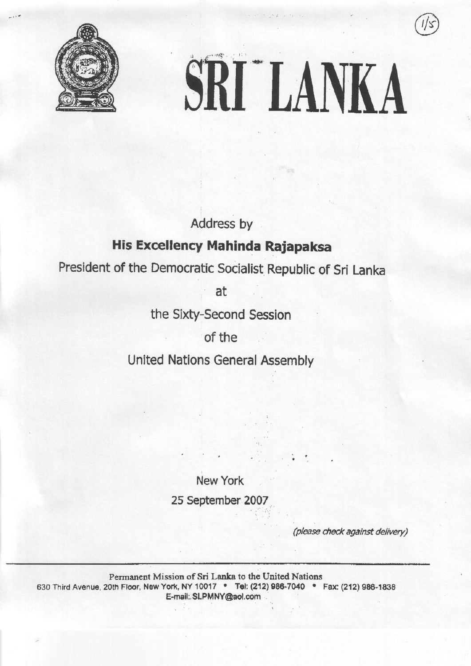



Address by

# His Excellency Mahinda RaJapaksa

President of the Democratic Socialist Republic of Sri Lanka

at

the Sixty-Second Session

of the

United Nations General Assembly

New York

25 September 2007

(please check against delivery)

Permanent Mission of Sri Lanka to the United Nations 630 Third Avenue, 20th Floor, New York, NY 10017 . Tel: (212) 986-7040 . Fax: (212) 986-1838 E-mall;, SLPM NY@aol.com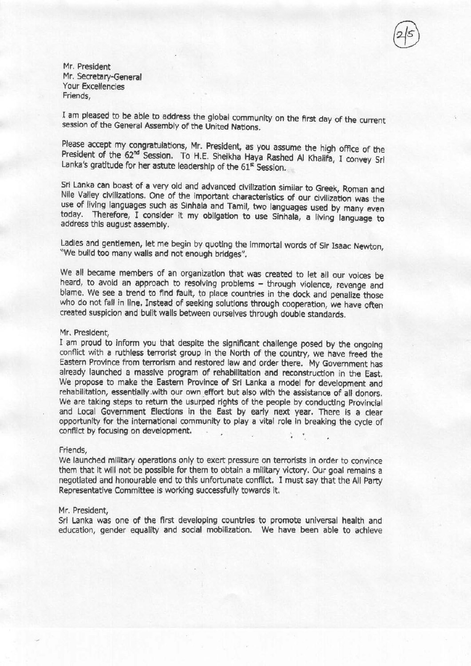Mr. President Mr. Secretary-General Your Excellencies Friends.

I am pleased to be able to address the global community on the first day of the current session of the General Assembly of the United Nations.

Please accept my congratulations, Mr. President, as you assume the high office of the President of the 62<sup>nd</sup> Session. To H.E. Sheikha Haya Rashed Al Khalifa, I convey Sri Lanka's gratitude for her astute leadership of the 61<sup>st</sup> Session.

Sri Lanka can boast of a very old and advanced civilization similar to Greek, Roman and Nile Valley civilizations. One of the important characteristics of our civilization was the use of living languages such as Sinhala and Tamil, two languages used by many even today. Therefore, I consider it my obligation to use Sinhala, a living language to address this august assembly.

Ladies and gentlemen, let me begin by quoting the immortal words of Sir Isaac Newton, "We build too many walls and not enough bridges".

We all became members of an organization that was created to let all our voices be heard, to avoid an approach to resolving problems - through violence, revenge and blame. We see a trend to find fault, to place countries in the dock and penalize those who do not fall in line. Instead of seeking solutions through cooperation, we have often created suspicion and built walls between ourselves through double standards.

#### Mr. President,

I am proud to inform you that despite the significant challenge posed by the ongoing conflict with a ruthless terrorist group in the North of the country, we have freed the Eastern Province from terrorism and restored law and order there. My Government has already launched a massive program of rehabilitation and reconstruction in the East. We propose to make the Eastern Province of Sri Lanka a model for development and rehabilitation, essentially with our own effort but also with the assistance of all donors. We are taking steps to return the usurped rights of the people by conducting Provincial and Local Government Elections in the East by early next year. There is a clear opportunity for the international community to play a vital role in breaking the cycle of conflict by focusing on development.

#### Friends.

We launched military operations only to exert pressure on terrorists in order to convince them that it will not be possible for them to obtain a military victory. Our goal remains a negotiated and honourable end to this unfortunate conflict. I must say that the All Party Representative Committee is working successfully towards it.

#### Mr. President,

Sri Lanka was one of the first developing countries to promote universal health and education, gender equality and social mobilization. We have been able to achieve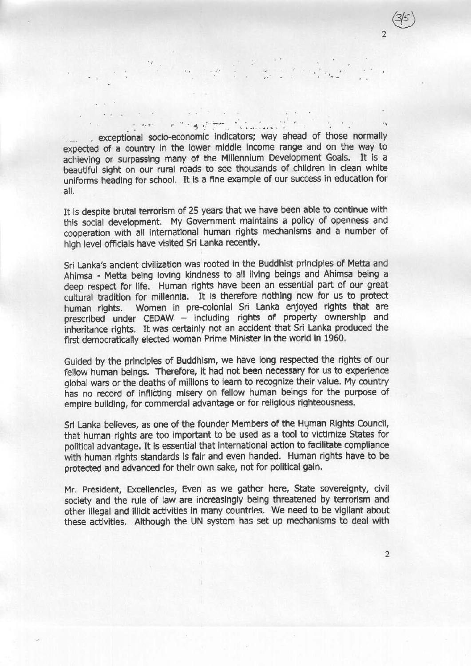Professor Committee

exceptional socio-economic indicators; way ahead of those normally expected of a country in the lower middle income range and on the way to achieving or surpassing many of the Millennium Development Goals. It is a beautiful sight on our rural roads to see thousands of children in clean white uniforms heading for school. It is a fine example of our success in education for all.

It is despite brutal terrorism of 25 years that we have been able to continue with this social development. My Government maintains a policy of openness and cooperation with all international human rights mechanisms and a number of high level officials have visited Sri Lanka recently.

Sri Lanka's ancient civilization was rooted in the Buddhist principles of Metta and Ahimsa - Metta being loving kindness to all living beings and Ahimsa being a deep respect for life. Human rights have been an essential part of our great cultural tradition for millennia. It is therefore nothing new for us to protect human rights. Women in pre-colonial Sri Lanka enjoyed rights that are prescribed under CEDAW - including rights of property ownership and inheritance rights. It was certainly not an accident that Sri Lanka produced the first democratically elected woman Prime Minister in the world in 1960.

Guided by the principles of Buddhism, we have long respected the rights of our fellow human beings. Therefore, it had not been necessary for us to experience global wars or the deaths of millions to learn to recognize their value. My country has no record of inflicting misery on fellow human beings for the purpose of empire building, for commercial advantage or for religious righteousness.

Sri Lanka believes, as one of the founder Members of the Human Rights Council, that human rights are too important to be used as a tool to victimize States for political advantage. It is essential that international action to facilitate compliance with human rights standards is fair and even handed. Human rights have to be protected and advanced for their own sake, not for political gain.

Mr. President, Excellencies, Even as we gather here, State sovereignty, civil society and the rule of law are increasingly being threatened by terrorism and other illegal and illicit activities in many countries. We need to be vigilant about these activities. Although the UN system has set up mechanisms to deal with

 $\overline{2}$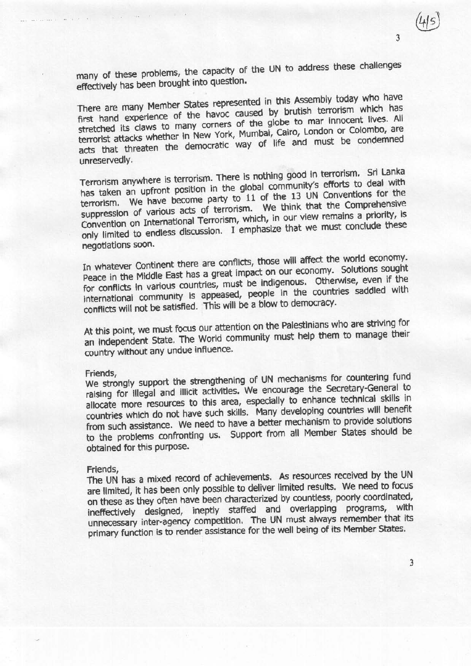$\overline{3}$ 

3

many of these problems, the capacity of the UN to address these challenges effectively has been brought into question.

There are many Member States represented in this Assembly today who have first hand experience of the havoc caused by brutish terrorism which has stretched its claws to many corners of the globe to mar innocent lives. All terrorist attacks whether in New York, Mumbai, Cairo, London or Colombo, are acts that threaten the democratic way of life and must be condemned unreservedly.

Terrorism anywhere is terrorism. There is nothing good in terrorism. Sri Lanka has taken an upfront position in the global community's efforts to deal with terrorism. We have become party to 11 of the 13 UN Conventions for the suppression of various acts of terrorism. We think that the Comprehensive Convention on International Terrorism, which, in our view remains a priority, is only limited to endless discussion. I emphasize that we must conclude these negotiations soon.

In whatever Continent there are conflicts, those will affect the world economy. Peace in the Middle East has a great impact on our economy. Solutions sought for conflicts in various countries, must be indigenous. Otherwise, even if the international community is appeased, people in the countries saddled with conflicts will not be satisfied. This will be a blow to democracy.

At this point, we must focus our attention on the Palestinians who are striving for an independent State. The World community must help them to manage their country without any undue influence.

### Friends,

and the same

We strongly support the strengthening of UN mechanisms for countering fund raising for illegal and illicit activities. We encourage the Secretary-General to allocate more resources to this area, especially to enhance technical skills in countries which do not have such skills. Many developing countries will benefit from such assistance. We need to have a better mechanism to provide solutions to the problems confronting us. Support from all Member States should be obtained for this purpose.

## Friends.

The UN has a mixed record of achievements. As resources received by the UN are limited, it has been only possible to deliver limited results. We need to focus on these as they often have been characterized by countless, poorly coordinated, ineffectively designed, ineptly staffed and overlapping programs, with unnecessary inter-agency competition. The UN must always remember that its primary function is to render assistance for the well being of its Member States.